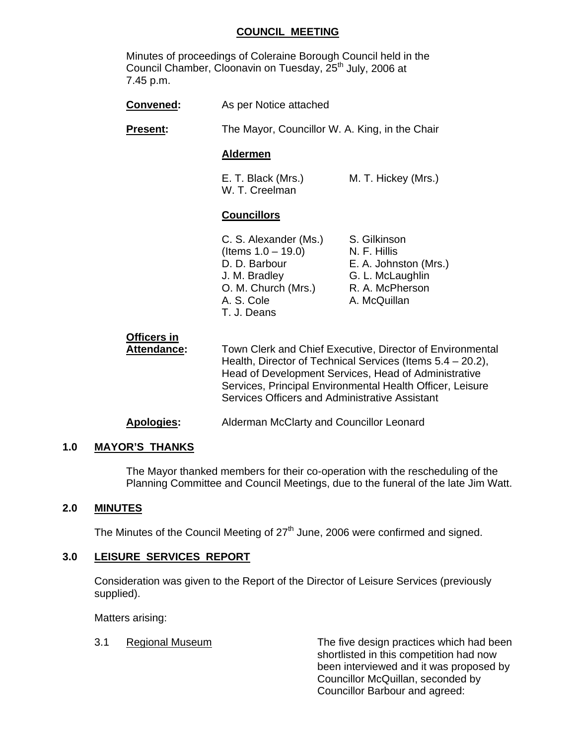## **COUNCIL MEETING**

 Minutes of proceedings of Coleraine Borough Council held in the Council Chamber, Cloonavin on Tuesday, 25th July, 2006 at 7.45 p.m.

| Convened:                         | As per Notice attached                                                                                                                                                                                                                                                                            |                                                                                                              |  |
|-----------------------------------|---------------------------------------------------------------------------------------------------------------------------------------------------------------------------------------------------------------------------------------------------------------------------------------------------|--------------------------------------------------------------------------------------------------------------|--|
| <b>Present:</b>                   | The Mayor, Councillor W. A. King, in the Chair                                                                                                                                                                                                                                                    |                                                                                                              |  |
|                                   | <b>Aldermen</b>                                                                                                                                                                                                                                                                                   |                                                                                                              |  |
|                                   | E. T. Black (Mrs.)<br>W. T. Creelman                                                                                                                                                                                                                                                              | M. T. Hickey (Mrs.)                                                                                          |  |
|                                   | <b>Councillors</b>                                                                                                                                                                                                                                                                                |                                                                                                              |  |
|                                   | C. S. Alexander (Ms.)<br>(Items $1.0 - 19.0$ )<br>D. D. Barbour<br>J. M. Bradley<br>O. M. Church (Mrs.)<br>A. S. Cole<br>T. J. Deans                                                                                                                                                              | S. Gilkinson<br>N. F. Hillis<br>E. A. Johnston (Mrs.)<br>G. L. McLaughlin<br>R. A. McPherson<br>A. McQuillan |  |
| Officers in<br><b>Attendance:</b> | Town Clerk and Chief Executive, Director of Environmental<br>Health, Director of Technical Services (Items $5.4 - 20.2$ ),<br>Head of Development Services, Head of Administrative<br>Services, Principal Environmental Health Officer, Leisure<br>Services Officers and Administrative Assistant |                                                                                                              |  |
| <b>Apologies:</b>                 | Alderman McClarty and Councillor Leonard                                                                                                                                                                                                                                                          |                                                                                                              |  |

### **1.0 MAYOR'S THANKS**

The Mayor thanked members for their co-operation with the rescheduling of the Planning Committee and Council Meetings, due to the funeral of the late Jim Watt.

### **2.0 MINUTES**

The Minutes of the Council Meeting of 27<sup>th</sup> June, 2006 were confirmed and signed.

#### **3.0 LEISURE SERVICES REPORT**

 Consideration was given to the Report of the Director of Leisure Services (previously supplied).

Matters arising:

 3.1 Regional Museum The five design practices which had been shortlisted in this competition had now been interviewed and it was proposed by Councillor McQuillan, seconded by Councillor Barbour and agreed: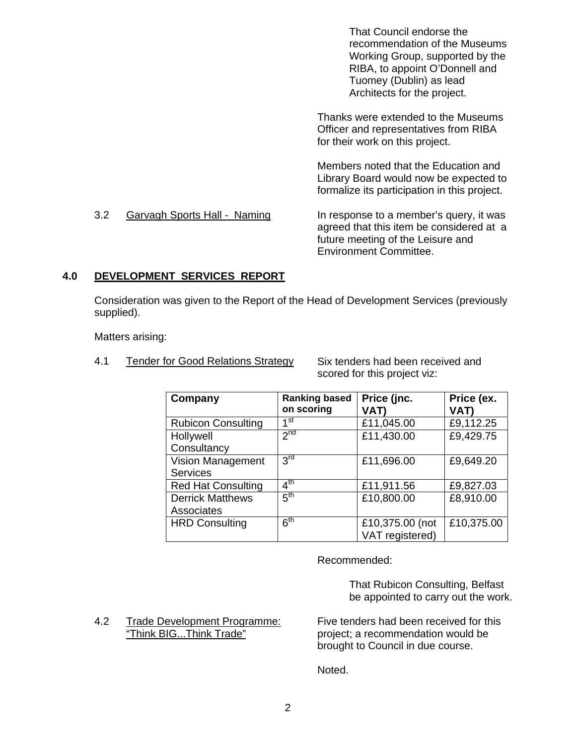That Council endorse the recommendation of the Museums Working Group, supported by the RIBA, to appoint O'Donnell and Tuomey (Dublin) as lead Architects for the project.

 Thanks were extended to the Museums Officer and representatives from RIBA for their work on this project.

Members noted that the Education and Library Board would now be expected to formalize its participation in this project.

### 3.2 Garvagh Sports Hall - Naming In response to a member's query, it was agreed that this item be considered at a future meeting of the Leisure and Environment Committee.

# **4.0 DEVELOPMENT SERVICES REPORT**

Consideration was given to the Report of the Head of Development Services (previously supplied).

Matters arising:

4.1 Tender for Good Relations Strategy Six tenders had been received and

scored for this project viz:

| Company                   | <b>Ranking based</b><br>on scoring | Price (jnc.<br><b>VAT)</b> | Price (ex.<br>VAT) |
|---------------------------|------------------------------------|----------------------------|--------------------|
| <b>Rubicon Consulting</b> | ⊿st                                | £11,045.00                 | £9,112.25          |
| Hollywell                 | 2 <sub>nd</sub>                    | £11,430.00                 | £9,429.75          |
| Consultancy               |                                    |                            |                    |
| Vision Management         | 3 <sup>rd</sup>                    | £11,696.00                 | £9,649.20          |
| <b>Services</b>           |                                    |                            |                    |
| <b>Red Hat Consulting</b> | $4^{\text{th}}$                    | £11,911.56                 | £9,827.03          |
| <b>Derrick Matthews</b>   | $5^{\text{th}}$                    | £10,800.00                 | £8,910.00          |
| Associates                |                                    |                            |                    |
| <b>HRD Consulting</b>     | 6 <sup>th</sup>                    | £10,375.00 (not            | £10,375.00         |
|                           |                                    | VAT registered)            |                    |

Recommended:

 That Rubicon Consulting, Belfast be appointed to carry out the work.

4.2 Trade Development Programme: Five tenders had been received for this<br>
"Think BIG...Think Trade" project; a recommendation would be

project; a recommendation would be brought to Council in due course.

Noted.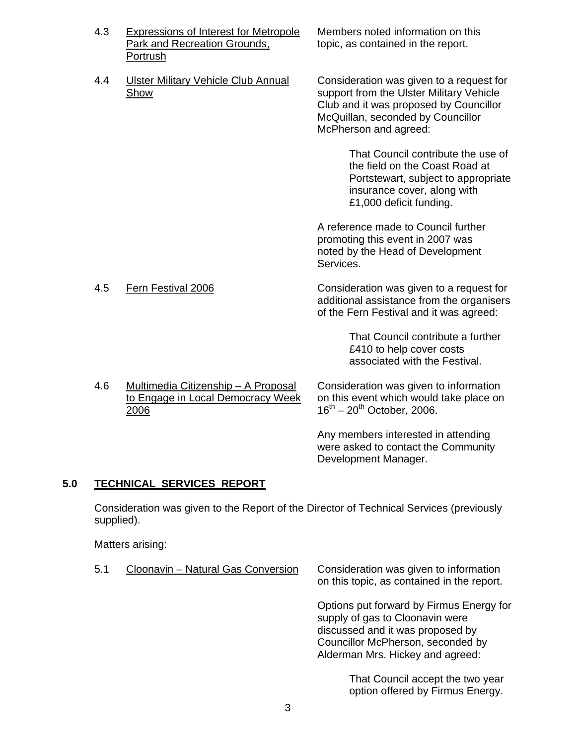- 4.3 Expressions of Interest for Metropole Members noted information on this<br>Park and Recreation Grounds, the propic, as contained in the report. Portrush
- 4.4 Ulster Military Vehicle Club Annual Consideration was given to a request for

topic, as contained in the report.

Show support from the Ulster Military Vehicle Club and it was proposed by Councillor McQuillan, seconded by Councillor McPherson and agreed:

> That Council contribute the use of the field on the Coast Road at Portstewart, subject to appropriate insurance cover, along with £1,000 deficit funding.

 A reference made to Council further promoting this event in 2007 was noted by the Head of Development Services.

 4.5 Fern Festival 2006 Consideration was given to a request for additional assistance from the organisers of the Fern Festival and it was agreed:

> That Council contribute a further £410 to help cover costs associated with the Festival.

4.6 Multimedia Citizenship - A Proposal Consideration was given to information  $16<sup>th</sup> - 20<sup>th</sup>$  October, 2006.

to Engage in Local Democracy Week on this event which would take place on

 Any members interested in attending were asked to contact the Community Development Manager.

# **5.0 TECHNICAL SERVICES REPORT**

 Consideration was given to the Report of the Director of Technical Services (previously supplied).

Matters arising:

| 5.1 | Cloonavin - Natural Gas Conversion | Consideration was given to information<br>on this topic, as contained in the report.                                                                                                     |
|-----|------------------------------------|------------------------------------------------------------------------------------------------------------------------------------------------------------------------------------------|
|     |                                    | Options put forward by Firmus Energy for<br>supply of gas to Cloonavin were<br>discussed and it was proposed by<br>Councillor McPherson, seconded by<br>Alderman Mrs. Hickey and agreed: |
|     |                                    | That Council accept the two vear                                                                                                                                                         |

Council accept the two year option offered by Firmus Energy.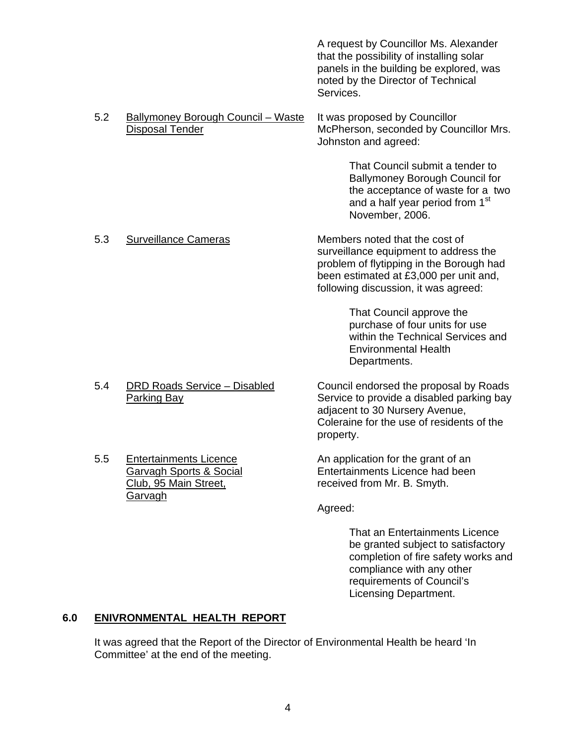A request by Councillor Ms. Alexander that the possibility of installing solar panels in the building be explored, was noted by the Director of Technical Services.

5.2 Ballymoney Borough Council – Waste It was proposed by Councillor Disposal Tender McPherson, seconded by Councillor Mrs. Johnston and agreed:

> That Council submit a tender to Ballymoney Borough Council for the acceptance of waste for a two and a half year period from 1<sup>st</sup> November, 2006.

5.3 Surveillance Cameras Members noted that the cost of surveillance equipment to address the problem of flytipping in the Borough had been estimated at £3,000 per unit and, following discussion, it was agreed:

> That Council approve the purchase of four units for use within the Technical Services and Environmental Health Departments.

5.4 DRD Roads Service – Disabled Council endorsed the proposal by Roads

Parking Bay **Service to provide a disabled parking bay** Service to provide a disabled parking bay adjacent to 30 Nursery Avenue, Coleraine for the use of residents of the property.

 5.5 Entertainments Licence An application for the grant of an Garvagh Sports & Social Entertainments Licence had been Club, 95 Main Street, The Club, 85 Main Street, Received from Mr. B. Smyth.

Agreed:

That an Entertainments Licence be granted subject to satisfactory completion of fire safety works and compliance with any other requirements of Council's Licensing Department.

# **6.0 ENIVRONMENTAL HEALTH REPORT**

Garvagh

 It was agreed that the Report of the Director of Environmental Health be heard 'In Committee' at the end of the meeting.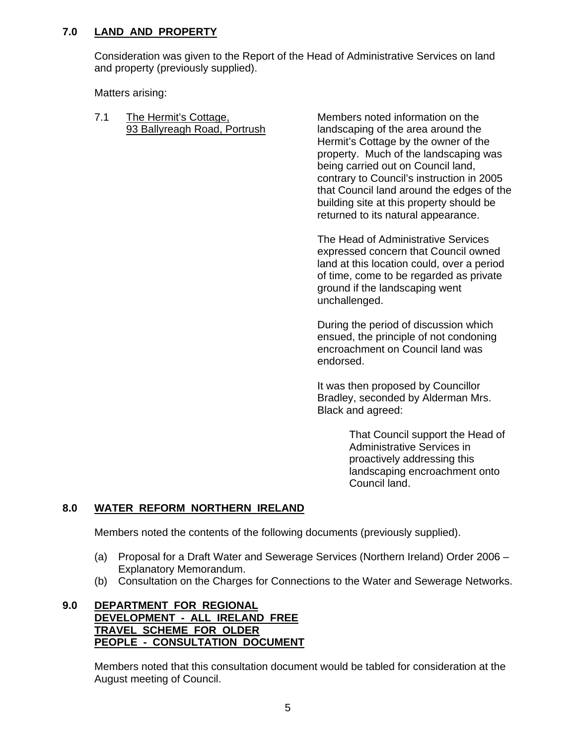## **7.0 LAND AND PROPERTY**

 Consideration was given to the Report of the Head of Administrative Services on land and property (previously supplied).

Matters arising:

7.1 The Hermit's Cottage. The Members noted information on the

93 Ballyreagh Road, Portrush landscaping of the area around the Hermit's Cottage by the owner of the property. Much of the landscaping was being carried out on Council land, contrary to Council's instruction in 2005 that Council land around the edges of the building site at this property should be returned to its natural appearance.

> The Head of Administrative Services expressed concern that Council owned land at this location could, over a period of time, come to be regarded as private ground if the landscaping went unchallenged.

During the period of discussion which ensued, the principle of not condoning encroachment on Council land was endorsed.

It was then proposed by Councillor Bradley, seconded by Alderman Mrs. Black and agreed:

> That Council support the Head of Administrative Services in proactively addressing this landscaping encroachment onto Council land.

# **8.0 WATER REFORM NORTHERN IRELAND**

Members noted the contents of the following documents (previously supplied).

- (a) Proposal for a Draft Water and Sewerage Services (Northern Ireland) Order 2006 Explanatory Memorandum.
- (b) Consultation on the Charges for Connections to the Water and Sewerage Networks.

#### **9.0 DEPARTMENT FOR REGIONAL DEVELOPMENT - ALL IRELAND FREE TRAVEL SCHEME FOR OLDER PEOPLE - CONSULTATION DOCUMENT**

Members noted that this consultation document would be tabled for consideration at the August meeting of Council.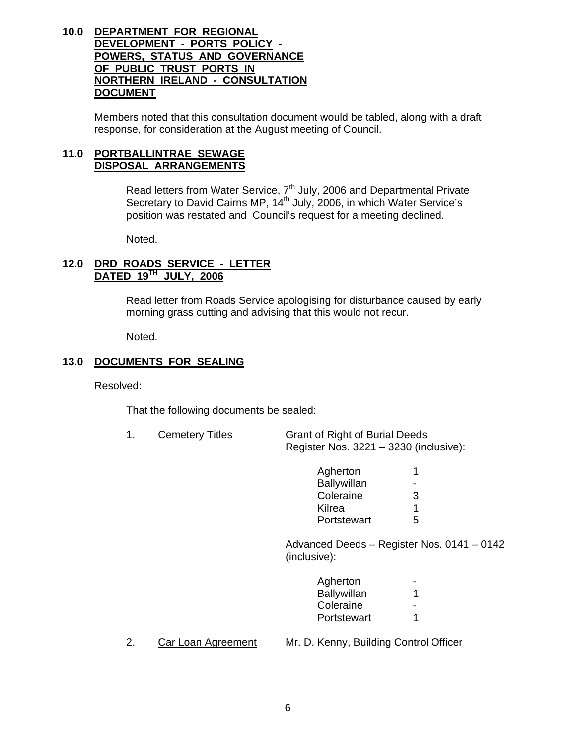### **10.0 DEPARTMENT FOR REGIONAL DEVELOPMENT - PORTS POLICY - POWERS, STATUS AND GOVERNANCE OF PUBLIC TRUST PORTS IN NORTHERN IRELAND - CONSULTATION DOCUMENT**

Members noted that this consultation document would be tabled, along with a draft response, for consideration at the August meeting of Council.

#### **11.0 PORTBALLINTRAE SEWAGE DISPOSAL ARRANGEMENTS**

Read letters from Water Service, 7<sup>th</sup> July, 2006 and Departmental Private Secretary to David Cairns MP, 14<sup>th</sup> July, 2006, in which Water Service's position was restated and Council's request for a meeting declined.

Noted.

## **12.0 DRD ROADS SERVICE - LETTER DATED 19TH JULY, 2006**

Read letter from Roads Service apologising for disturbance caused by early morning grass cutting and advising that this would not recur.

Noted.

## **13.0 DOCUMENTS FOR SEALING**

Resolved:

That the following documents be sealed:

1. Cemetery Titles Grant of Right of Burial Deeds Register Nos. 3221 – 3230 (inclusive):

| Agherton    | 4                       |
|-------------|-------------------------|
| Ballywillan |                         |
| Coleraine   | 3                       |
| Kilrea      | $\overline{\mathbf{A}}$ |
| Portstewart | 5                       |

 Advanced Deeds – Register Nos. 0141 – 0142 (inclusive):

| Agherton    | $\sim$ |
|-------------|--------|
| Ballywillan |        |
| Coleraine   | $\sim$ |
| Portstewart |        |
|             |        |

2. Car Loan Agreement Mr. D. Kenny, Building Control Officer